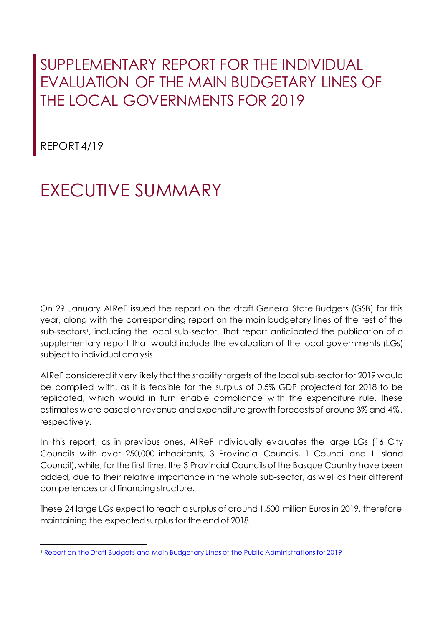## SUPPLEMENTARY REPORT FOR THE INDIVIDUAL EVALUATION OF THE MAIN BUDGETARY LINES OF THE LOCAL GOVERNMENTS FOR 2019

REPORT 4/19

## EXECUTIVE SUMMARY

On 29 January AIReF issued the report on the draft General State Budgets (GSB) for this year, along with the corresponding report on the main budgetary lines of the rest of the sub-sectors<sup>1</sup> , including the local sub-sector. That report anticipated the publication of a supplementary report that would include the evaluation of the local governments (LGs) subject to individual analysis.

AIReF considered it very likely that the stability targets of the local sub-sector for 2019 would be complied with, as it is feasible for the surplus of 0.5% GDP projected for 2018 to be replicated, which would in turn enable compliance with the expenditure rule. These estimates were based on revenue and expenditure growth forecasts of around 3% and 4%, respectively.

In this report, as in previous ones, AI ReF individually evaluates the large LGs (16 City Councils with over 250,000 inhabitants, 3 Provincial Councils, 1 Council and 1 Island Council), while, for the first time, the 3 Provincial Councils of the Basque Country have been added, due to their relative importance in the whole sub-sector, as well as their different competences and financing structure.

These 24 large LGs expect to reach a surplus of around 1,500 million Euros in 2019, therefore maintaining the expected surplus for the end of 2018.

 $\overline{a}$ <sup>1</sup> Report on the Draft Budgets [and Main Budgetary Lines of the Public Administrations](http://www.airef.es/wp-content/uploads/2019/01/Informes/2019-01-31-Informe-Proyecto-PGE2019-319.pdf) for 2019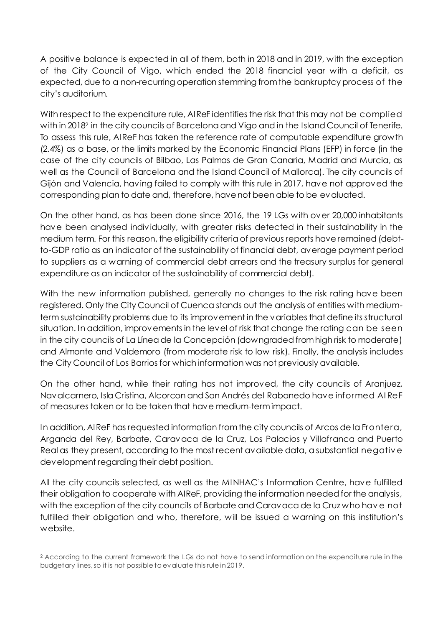A positive balance is expected in all of them, both in 2018 and in 2019, with the exception of the City Council of Vigo, which ended the 2018 financial year with a deficit, as expected, due to a non-recurring operation stemming from the bankruptcy process of the city's auditorium.

With respect to the expenditure rule, AIReF identifies the risk that this may not be complied with in 2018<sup>2</sup> in the city councils of Barcelona and Vigo and in the Island Council of Tenerife. To assess this rule, AIReF has taken the reference rate of computable expenditure growth (2.4%) as a base, or the limits marked by the Economic Financial Plans (EFP) in force (in the case of the city councils of Bilbao, Las Palmas de Gran Canaria, Madrid and Murcia, as well as the Council of Barcelona and the Island Council of Mallorca). The city councils of Gijón and Valencia, having failed to comply with this rule in 2017, have not approved the corresponding plan to date and, therefore, have not been able to be evaluated.

On the other hand, as has been done since 2016, the 19 LGs with over 20,000 inhabitants have been analysed individually, with greater risks detected in their sustainability in the medium term. For this reason, the eligibility criteria of previous reports have remained (debtto-GDP ratio as an indicator of the sustainability of financial debt, average payment period to suppliers as a warning of commercial debt arrears and the treasury surplus for general expenditure as an indicator of the sustainability of commercial debt).

With the new information published, generally no changes to the risk rating have been registered. Only the City Council of Cuenca stands out the analysis of entities with mediumterm sustainability problems due to its improvement in the variables that define its structural situation. In addition, improvements in the level of risk that change the rating can be seen in the city councils of La Línea de la Concepción (downgraded from high risk to moderate) and Almonte and Valdemoro (from moderate risk to low risk). Finally, the analysis includes the City Council of Los Barrios for which information was not previously available.

On the other hand, while their rating has not improved, the city councils of Aranjuez, Navalcarnero, Isla Cristina, Alcorcon and San Andrés del Rabanedo have informed AI ReF of measures taken or to be taken that have medium-term impact.

In addition, AIReF has requested information from the city councils of Arcos de la Frontera, Arganda del Rey, Barbate, Caravaca de la Cruz, Los Palacios y Villafranca and Puerto Real as they present, according to the most recent available data, a substantial negativ e development regarding their debt position.

All the city councils selected, as well as the MINHAC's Information Centre, have fulfilled their obligation to cooperate with AIReF, providing the information needed for the analysis, with the exception of the city councils of Barbate and Caravaca de la Cruz who hav e not fulfilled their obligation and who, therefore, will be issued a warning on this institution's website.

 $\overline{a}$ <sup>2</sup> According to the current framework the LGs do not have to send information on the expenditure rule in the budgetary lines, so it is not possible to evaluate this rule in 2019.